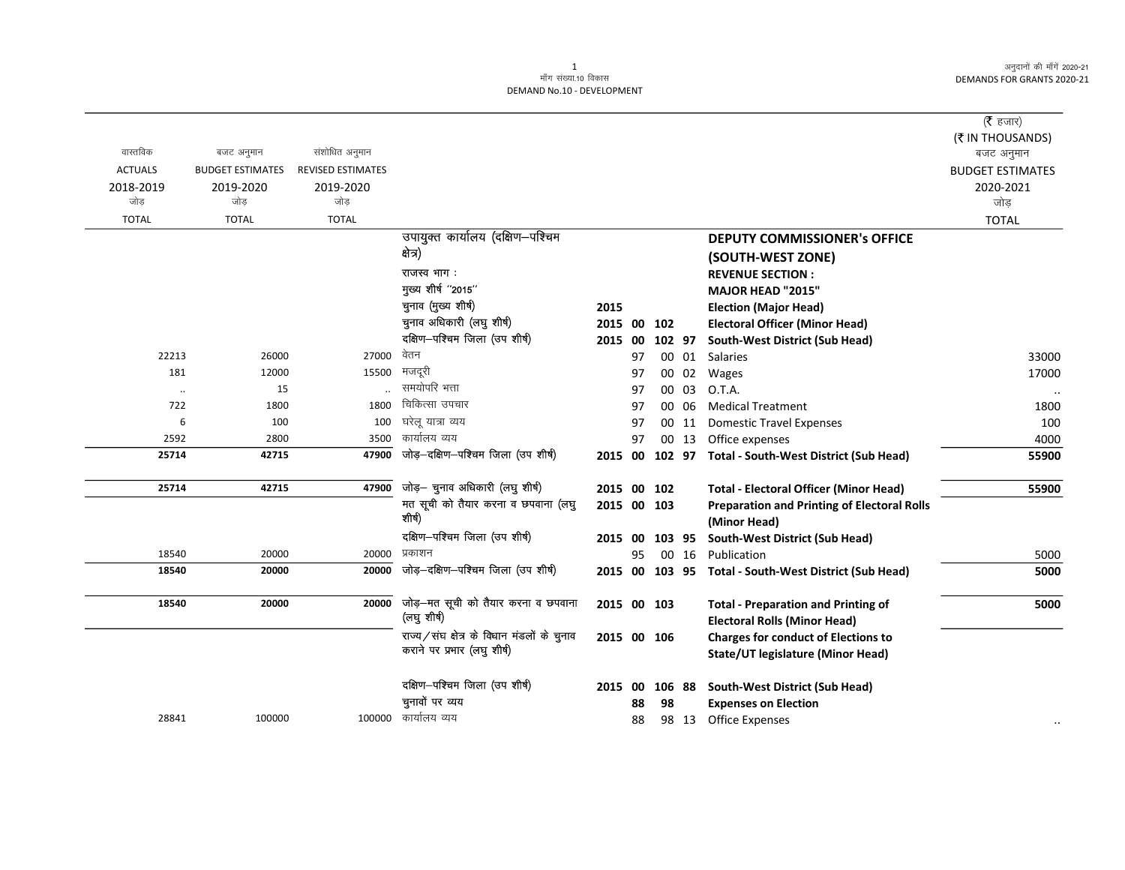$\overline{\phantom{0}}$ 

|                |                         |                          |                                            |             |    |        |       |                                                       | ( $\bar{\tau}$ हजार)    |
|----------------|-------------------------|--------------------------|--------------------------------------------|-------------|----|--------|-------|-------------------------------------------------------|-------------------------|
|                |                         |                          |                                            |             |    |        |       |                                                       | (₹ IN THOUSANDS)        |
| वास्तविक       | बजट अनुमान              | संशोधित अनुमान           |                                            |             |    |        |       |                                                       | बजट अनुमान              |
| <b>ACTUALS</b> | <b>BUDGET ESTIMATES</b> | <b>REVISED ESTIMATES</b> |                                            |             |    |        |       |                                                       | <b>BUDGET ESTIMATES</b> |
| 2018-2019      | 2019-2020               | 2019-2020                |                                            |             |    |        |       |                                                       | 2020-2021               |
| जोड            | जोड                     | जोड                      |                                            |             |    |        |       |                                                       | जोड                     |
| <b>TOTAL</b>   | <b>TOTAL</b>            | <b>TOTAL</b>             |                                            |             |    |        |       |                                                       | <b>TOTAL</b>            |
|                |                         |                          | उपायुक्त कार्यालय (दक्षिण-पश्चिम           |             |    |        |       | <b>DEPUTY COMMISSIONER's OFFICE</b>                   |                         |
|                |                         |                          | क्षेत्र)                                   |             |    |        |       | (SOUTH-WEST ZONE)                                     |                         |
|                |                         |                          | राजस्व भाग:                                |             |    |        |       | <b>REVENUE SECTION:</b>                               |                         |
|                |                         |                          | मुख्य शीर्ष "2015"                         |             |    |        |       | <b>MAJOR HEAD "2015"</b>                              |                         |
|                |                         |                          | चुनाव (मुख्य शीर्ष)                        | 2015        |    |        |       | <b>Election (Major Head)</b>                          |                         |
|                |                         |                          | चुनाव अधिकारी (लघु शीर्ष)                  | 2015 00 102 |    |        |       | <b>Electoral Officer (Minor Head)</b>                 |                         |
|                |                         |                          | दक्षिण-पश्चिम जिला (उप शीर्ष)              | 2015 00     |    | 102 97 |       | South-West District (Sub Head)                        |                         |
| 22213          | 26000                   | 27000                    | वेतन                                       |             | 97 |        |       | 00 01 Salaries                                        | 33000                   |
| 181            | 12000                   | 15500                    | मजदूरी                                     |             | 97 |        | 00 02 | Wages                                                 | 17000                   |
| $\cdot$        | 15                      |                          | समयोपरि भत्ता                              |             | 97 | 00     | 03    | O.T.A.                                                |                         |
| 722            | 1800                    | 1800                     | चिकित्सा उपचार                             |             | 97 | 00     | 06    | <b>Medical Treatment</b>                              | 1800                    |
| 6              | 100                     | 100                      | घरेलू यात्रा व्यय                          |             | 97 |        | 00 11 | <b>Domestic Travel Expenses</b>                       | 100                     |
| 2592           | 2800                    | 3500                     | कार्यालय व्यय                              |             | 97 |        |       | 00 13 Office expenses                                 | 4000                    |
| 25714          | 42715                   | 47900                    | जोड़-दक्षिण-पश्चिम जिला (उप शीर्ष)         |             |    |        |       | 2015 00 102 97 Total - South-West District (Sub Head) | 55900                   |
| 25714          | 42715                   | 47900                    | जोड़- चुनाव अधिकारी (लघु शीर्ष)            | 2015 00 102 |    |        |       | <b>Total - Electoral Officer (Minor Head)</b>         | 55900                   |
|                |                         |                          | मत सूची को तैयार करना व छपवाना (लघु        | 2015 00 103 |    |        |       | <b>Preparation and Printing of Electoral Rolls</b>    |                         |
|                |                         |                          | शीर्ष)                                     |             |    |        |       | (Minor Head)                                          |                         |
|                |                         |                          | दक्षिण-पश्चिम जिला (उप शीर्ष)              | 2015 00     |    | 103 95 |       | South-West District (Sub Head)                        |                         |
| 18540          | 20000                   | 20000                    | प्रकाशन                                    |             | 95 |        | 00 16 | Publication                                           | 5000                    |
| 18540          | 20000                   | 20000                    | जोड़-दक्षिण-पश्चिम जिला (उप शीर्ष)         | 2015        |    |        |       | 00 103 95 Total - South-West District (Sub Head)      | 5000                    |
| 18540          | 20000                   | 20000                    | जोड़-मत सूची को तैयार करना व छपवाना        | 2015 00 103 |    |        |       | <b>Total - Preparation and Printing of</b>            | 5000                    |
|                |                         |                          | (लघु शीर्ष)                                |             |    |        |       | <b>Electoral Rolls (Minor Head)</b>                   |                         |
|                |                         |                          | राज्य/संघ क्षेत्र के विधान मंडलों के चुनाव | 2015 00 106 |    |        |       | <b>Charges for conduct of Elections to</b>            |                         |
|                |                         |                          | कराने पर प्रभार (लघु शीर्ष)                |             |    |        |       | State/UT legislature (Minor Head)                     |                         |
|                |                         |                          | दक्षिण-पश्चिम जिला (उप शीर्ष)              | 2015 00     |    | 106 88 |       | South-West District (Sub Head)                        |                         |
|                |                         |                          | चुनावों पर व्यय                            |             | 88 | 98     |       | <b>Expenses on Election</b>                           |                         |
| 28841          | 100000                  | 100000                   | कार्यालय व्यय                              |             | 88 |        | 98 13 | <b>Office Expenses</b>                                |                         |
|                |                         |                          |                                            |             |    |        |       |                                                       |                         |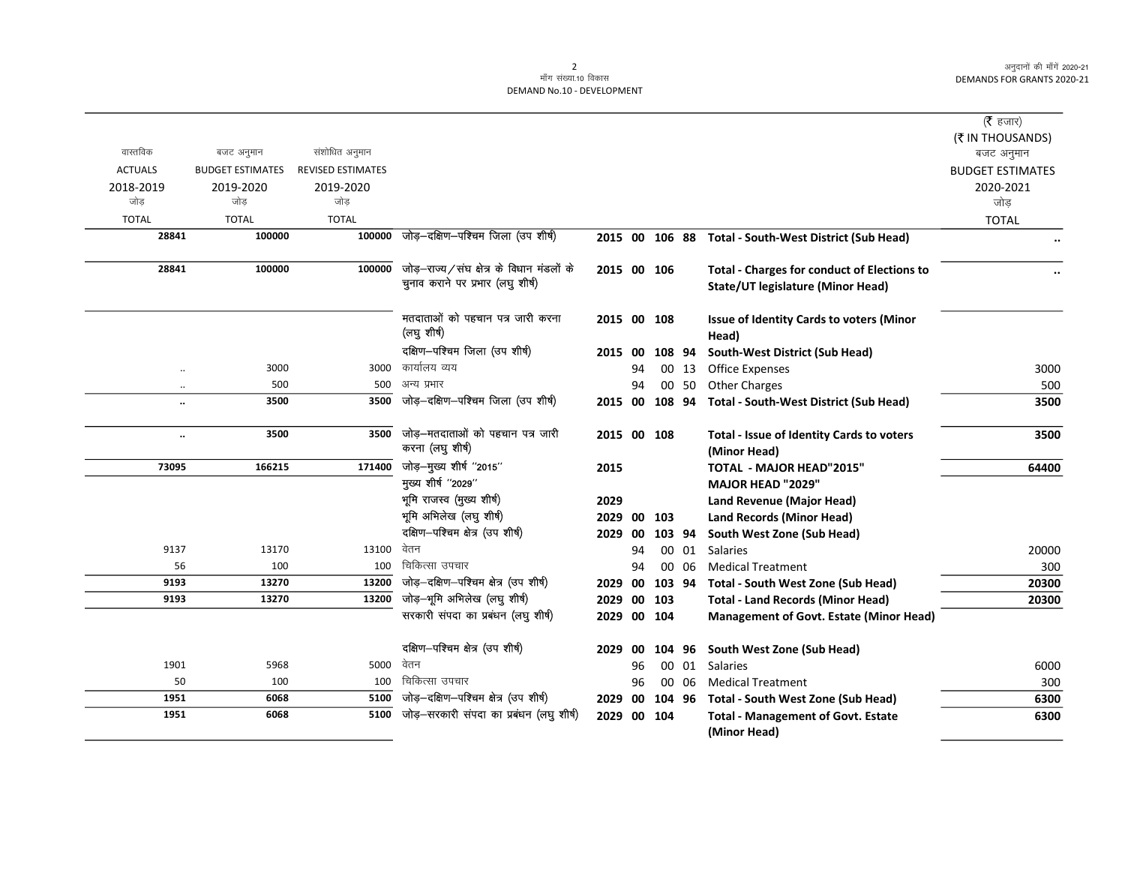|                      |                         |                          |                                                      |             |     |        |       |                                                           | ( $\bar{\tau}$ हजार)           |
|----------------------|-------------------------|--------------------------|------------------------------------------------------|-------------|-----|--------|-------|-----------------------------------------------------------|--------------------------------|
| वास्तविक             | बजट अनुमान              | संशोधित अनुमान           |                                                      |             |     |        |       |                                                           | (₹ IN THOUSANDS)<br>बजट अनुमान |
| <b>ACTUALS</b>       | <b>BUDGET ESTIMATES</b> | <b>REVISED ESTIMATES</b> |                                                      |             |     |        |       |                                                           | <b>BUDGET ESTIMATES</b>        |
| 2018-2019            | 2019-2020               | 2019-2020                |                                                      |             |     |        |       |                                                           | 2020-2021                      |
| जोड                  | जोड                     | जोड                      |                                                      |             |     |        |       |                                                           | जोड़                           |
| <b>TOTAL</b>         | <b>TOTAL</b>            | <b>TOTAL</b>             |                                                      |             |     |        |       |                                                           | <b>TOTAL</b>                   |
| 28841                | 100000                  | 100000                   | जोड़-दक्षिण-पश्चिम जिला (उप शीर्ष)                   |             |     |        |       | 2015 00 106 88 Total - South-West District (Sub Head)     | $\ddot{\phantom{0}}$           |
| 28841                | 100000                  | 100000                   | जोड़–राज्य/संघ क्षेत्र के विधान मंडलों के            | 2015 00 106 |     |        |       | <b>Total - Charges for conduct of Elections to</b>        |                                |
|                      |                         |                          | चुनाव कराने पर प्रभार (लघु शीर्ष)                    |             |     |        |       | State/UT legislature (Minor Head)                         |                                |
|                      |                         |                          | मतदाताओं को पहचान पत्र जारी करना<br>(लघु शीर्ष)      | 2015 00 108 |     |        |       | <b>Issue of Identity Cards to voters (Minor</b><br>Head)  |                                |
|                      |                         |                          | दक्षिण-पश्चिम जिला (उप शीर्ष)                        | 2015 00     |     | 108 94 |       | South-West District (Sub Head)                            |                                |
| $\ddot{\phantom{a}}$ | 3000                    | 3000                     | कार्यालय व्यय                                        |             | 94  |        | 00 13 | <b>Office Expenses</b>                                    | 3000                           |
| $\ddot{\phantom{0}}$ | 500                     | 500                      | अन्य प्रभार                                          |             | 94  |        | 00 50 | <b>Other Charges</b>                                      | 500                            |
| $\ddot{\phantom{a}}$ | 3500                    | 3500                     | जोड़-दक्षिण-पश्चिम जिला (उप शीर्ष)                   | 2015 00     |     | 108 94 |       | Total - South-West District (Sub Head)                    | 3500                           |
| $\ddot{\phantom{a}}$ | 3500                    | 3500                     | जोड़-मतदाताओं को पहचान पत्र जारी<br>करना (लघु शीर्ष) | 2015 00 108 |     |        |       | Total - Issue of Identity Cards to voters<br>(Minor Head) | 3500                           |
| 73095                | 166215                  | 171400                   | जोड़-मुख्य शीर्ष "2015"                              | 2015        |     |        |       | <b>TOTAL - MAJOR HEAD"2015"</b>                           | 64400                          |
|                      |                         |                          | मुख्य शीर्ष "2029"                                   |             |     |        |       | <b>MAJOR HEAD "2029"</b>                                  |                                |
|                      |                         |                          | भूमि राजस्व (मुख्य शीर्ष)                            | 2029        |     |        |       | Land Revenue (Major Head)                                 |                                |
|                      |                         |                          | भूमि अभिलेख (लघु शीर्ष)                              | 2029 00 103 |     |        |       | <b>Land Records (Minor Head)</b>                          |                                |
|                      |                         |                          | दक्षिण-पश्चिम क्षेत्र (उप शीर्ष)                     | 2029 00     |     | 103 94 |       | South West Zone (Sub Head)                                |                                |
| 9137                 | 13170                   | 13100                    | वेतन                                                 |             | 94  |        | 00 01 | <b>Salaries</b>                                           | 20000                          |
| 56                   | 100                     | 100                      | चिकित्सा उपचार                                       |             | 94  |        | 00 06 | <b>Medical Treatment</b>                                  | 300                            |
| 9193                 | 13270                   | 13200                    | जोड़-दक्षिण-पश्चिम क्षेत्र (उप शीर्ष)                | 2029 00     |     | 103 94 |       | Total - South West Zone (Sub Head)                        | 20300                          |
| 9193                 | 13270                   | 13200                    | जोड़–भूमि अभिलेख (लघु शीर्ष)                         | 2029 00 103 |     |        |       | <b>Total - Land Records (Minor Head)</b>                  | 20300                          |
|                      |                         |                          | सरकारी संपदा का प्रबंधन (लघु शीर्ष)                  | 2029 00 104 |     |        |       | <b>Management of Govt. Estate (Minor Head)</b>            |                                |
|                      |                         |                          | दक्षिण-पश्चिम क्षेत्र (उप शीर्ष)                     | 2029        | -00 | 104 96 |       | South West Zone (Sub Head)                                |                                |
| 1901                 | 5968                    | 5000 वेतन                |                                                      |             | 96  |        | 00 01 | <b>Salaries</b>                                           | 6000                           |
| 50                   | 100                     | 100                      | चिकित्सा उपचार                                       |             | 96  |        | 00 06 | <b>Medical Treatment</b>                                  | 300                            |
| 1951                 | 6068                    | 5100                     | जोड़-दक्षिण-पश्चिम क्षेत्र (उप शीर्ष)                | 2029        | 00  |        |       | 104 96 Total - South West Zone (Sub Head)                 | 6300                           |
| 1951                 | 6068                    | 5100                     | जोड़-सरकारी संपदा का प्रबंधन (लघु शीर्ष)             | 2029 00 104 |     |        |       | <b>Total - Management of Govt. Estate</b><br>(Minor Head) | 6300                           |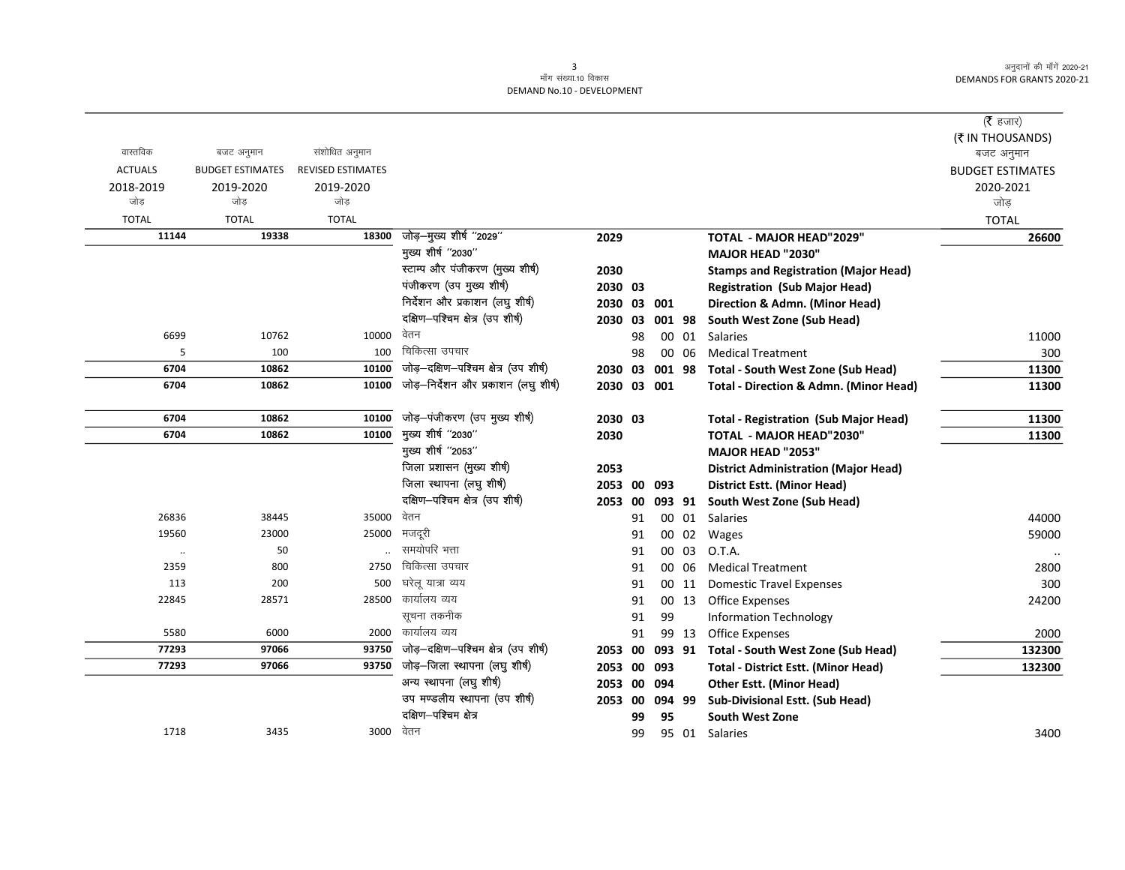|                |                         |                          |                                       |             |    |        |       |                                                   | ( <b>रै</b> हजार)       |
|----------------|-------------------------|--------------------------|---------------------------------------|-------------|----|--------|-------|---------------------------------------------------|-------------------------|
|                |                         |                          |                                       |             |    |        |       |                                                   | (₹ IN THOUSANDS)        |
| वास्तविक       | बजट अनुमान              | संशोधित अनुमान           |                                       |             |    |        |       |                                                   | बजट अनुमान              |
| <b>ACTUALS</b> | <b>BUDGET ESTIMATES</b> | <b>REVISED ESTIMATES</b> |                                       |             |    |        |       |                                                   | <b>BUDGET ESTIMATES</b> |
| 2018-2019      | 2019-2020               | 2019-2020                |                                       |             |    |        |       |                                                   | 2020-2021               |
| जोड            | जोड                     | जोड                      |                                       |             |    |        |       |                                                   | जोड                     |
| <b>TOTAL</b>   | <b>TOTAL</b>            | <b>TOTAL</b>             |                                       |             |    |        |       |                                                   | <b>TOTAL</b>            |
| 11144          | 19338                   | 18300                    | जोड़-मुख्य शीर्ष "2029"               | 2029        |    |        |       | TOTAL - MAJOR HEAD"2029"                          | 26600                   |
|                |                         |                          | मुख्य शीर्ष "2030"                    |             |    |        |       | <b>MAJOR HEAD "2030"</b>                          |                         |
|                |                         |                          | स्टाम्प और पंजीकरण (मुख्य शीर्ष)      | 2030        |    |        |       | <b>Stamps and Registration (Major Head)</b>       |                         |
|                |                         |                          | पंजीकरण (उप मुख्य शीर्ष)              | 2030 03     |    |        |       | <b>Registration (Sub Major Head)</b>              |                         |
|                |                         |                          | निर्देशन और प्रकाशन (लघु शीर्ष)       | 2030 03     |    | 001    |       | Direction & Admn. (Minor Head)                    |                         |
|                |                         |                          | दक्षिण-पश्चिम क्षेत्र (उप शीर्ष)      | 2030 03     |    | 001 98 |       | South West Zone (Sub Head)                        |                         |
| 6699           | 10762                   | 10000                    | वेतन                                  |             | 98 |        | 00 01 | Salaries                                          | 11000                   |
| 5              | 100                     | 100                      | चिकित्सा उपचार                        |             | 98 |        | 00 06 | <b>Medical Treatment</b>                          | 300                     |
| 6704           | 10862                   | 10100                    | जोड़-दक्षिण-पश्चिम क्षेत्र (उप शीर्ष) | 2030        | 03 | 001 98 |       | Total - South West Zone (Sub Head)                | 11300                   |
| 6704           | 10862                   | 10100                    | जोड़—निर्देशन और प्रकाशन (लघु शीर्ष)  | 2030 03 001 |    |        |       | <b>Total - Direction &amp; Admn. (Minor Head)</b> | 11300                   |
|                |                         |                          |                                       |             |    |        |       |                                                   |                         |
| 6704           | 10862                   | 10100                    | जोड़-पंजीकरण (उप मुख्य शीर्ष)         | 2030 03     |    |        |       | <b>Total - Registration (Sub Major Head)</b>      | 11300                   |
| 6704           | 10862                   | 10100                    | मुख्य शीर्ष "2030"                    | 2030        |    |        |       | TOTAL - MAJOR HEAD"2030"                          | 11300                   |
|                |                         |                          | मुख्य शीर्ष "2053"                    |             |    |        |       | <b>MAJOR HEAD "2053"</b>                          |                         |
|                |                         |                          | जिला प्रशासन (मुख्य शीर्ष)            | 2053        |    |        |       | <b>District Administration (Major Head)</b>       |                         |
|                |                         |                          | जिला स्थापना (लघु शीर्ष)              | 2053 00     |    | 093    |       | District Estt. (Minor Head)                       |                         |
|                |                         |                          | दक्षिण-पश्चिम क्षेत्र (उप शीर्ष)      | 2053 00     |    | 093 91 |       | South West Zone (Sub Head)                        |                         |
| 26836          | 38445                   | 35000                    | वेतन                                  |             | 91 |        | 00 01 | Salaries                                          | 44000                   |
| 19560          | 23000                   | 25000                    | मजदूरी                                |             | 91 |        | 00 02 | Wages                                             | 59000                   |
| $\cdot\cdot$   | 50                      |                          | समयोपरि भत्ता                         |             | 91 | 00     | 03    | O.T.A.                                            |                         |
| 2359           | 800                     | 2750                     | चिकित्सा उपचार                        |             | 91 | 00     | 06    | <b>Medical Treatment</b>                          | 2800                    |
| 113            | 200                     | 500                      | घरेलू यात्रा व्यय                     |             | 91 |        | 00 11 | <b>Domestic Travel Expenses</b>                   | 300                     |
| 22845          | 28571                   |                          | 28500 कार्यालय व्यय                   |             | 91 |        | 00 13 | <b>Office Expenses</b>                            | 24200                   |
|                |                         |                          | सूचना तकनीक                           |             | 91 | 99     |       | <b>Information Technology</b>                     |                         |
| 5580           | 6000                    | 2000                     | कार्यालय व्यय                         |             | 91 |        | 99 13 | <b>Office Expenses</b>                            | 2000                    |
| 77293          | 97066                   | 93750                    | जोड़-दक्षिण-पश्चिम क्षेत्र (उप शीर्ष) | 2053        | 00 | 093 91 |       | Total - South West Zone (Sub Head)                | 132300                  |
| 77293          | 97066                   | 93750                    | जोड़-जिला स्थापना (लघु शीर्ष)         | 2053 00 093 |    |        |       | <b>Total - District Estt. (Minor Head)</b>        | 132300                  |
|                |                         |                          | अन्य स्थापना (लघु शीर्ष)              | 2053 00 094 |    |        |       | <b>Other Estt. (Minor Head)</b>                   |                         |
|                |                         |                          | उप मण्डलीय स्थापना (उप शीर्ष)         | 2053 00     |    | 094 99 |       | <b>Sub-Divisional Estt. (Sub Head)</b>            |                         |
|                |                         |                          | दक्षिण-पश्चिम क्षेत्र                 |             | 99 | 95     |       | <b>South West Zone</b>                            |                         |
| 1718           | 3435                    | 3000                     | वेतन                                  |             | 99 |        | 95 01 | Salaries                                          | 3400                    |
|                |                         |                          |                                       |             |    |        |       |                                                   |                         |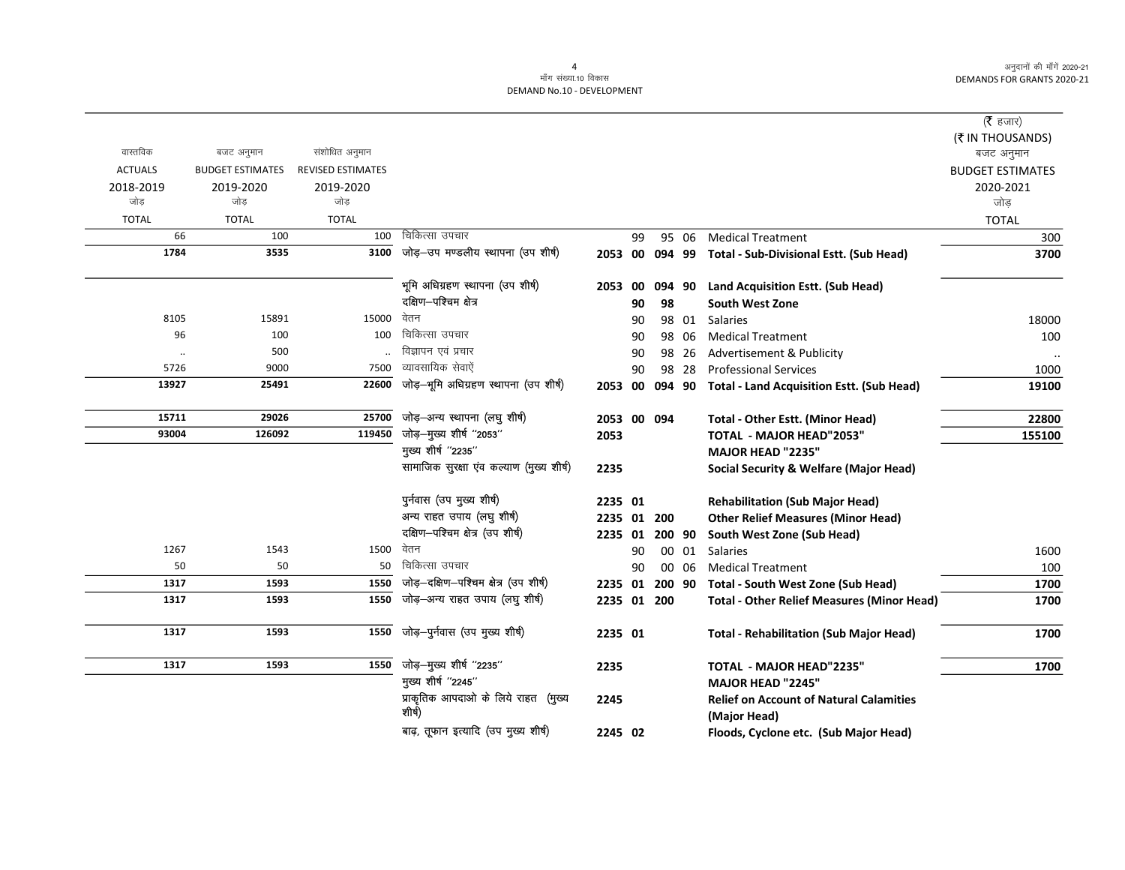|                |                         |                          |                                               |                |    |        |       |                                                                | ( $\bar{\tau}$ हजार)           |
|----------------|-------------------------|--------------------------|-----------------------------------------------|----------------|----|--------|-------|----------------------------------------------------------------|--------------------------------|
| वास्तविक       | बजट अनुमान              | संशोधित अनुमान           |                                               |                |    |        |       |                                                                | (₹ IN THOUSANDS)<br>बजट अनुमान |
| <b>ACTUALS</b> | <b>BUDGET ESTIMATES</b> | <b>REVISED ESTIMATES</b> |                                               |                |    |        |       |                                                                | <b>BUDGET ESTIMATES</b>        |
| 2018-2019      | 2019-2020               | 2019-2020                |                                               |                |    |        |       |                                                                | 2020-2021                      |
| जोड            | जोड                     | जोड                      |                                               |                |    |        |       |                                                                | जोड                            |
| <b>TOTAL</b>   | <b>TOTAL</b>            | <b>TOTAL</b>             |                                               |                |    |        |       |                                                                | <b>TOTAL</b>                   |
| 66             | 100                     | 100                      | चिकित्सा उपचार                                |                | 99 |        | 95 06 | <b>Medical Treatment</b>                                       | 300                            |
| 1784           | 3535                    |                          | 3100 जोड़-उप मण्डलीय स्थापना (उप शीर्ष)       |                |    |        |       | 2053 00 094 99 Total - Sub-Divisional Estt. (Sub Head)         | 3700                           |
|                |                         |                          | भूमि अधिग्रहण स्थापना (उप शीर्ष)              | 2053 00        |    |        |       | 094 90 Land Acquisition Estt. (Sub Head)                       |                                |
|                |                         |                          | दक्षिण-पश्चिम क्षेत्र                         |                | 90 | 98     |       | <b>South West Zone</b>                                         |                                |
| 8105           | 15891                   | 15000                    | वेतन                                          |                | 90 |        | 98 01 | <b>Salaries</b>                                                | 18000                          |
| 96             | 100                     | 100                      | चिकित्सा उपचार                                |                | 90 |        | 98 06 | <b>Medical Treatment</b>                                       | 100                            |
| $\ddotsc$      | 500                     |                          | विज्ञापन एवं प्रचार                           |                | 90 |        | 98 26 | Advertisement & Publicity                                      |                                |
| 5726           | 9000                    | 7500                     | व्यावसायिक सेवाऐं                             |                | 90 |        | 98 28 | <b>Professional Services</b>                                   | 1000                           |
| 13927          | 25491                   | 22600                    | जोड़-भूमि अधिग्रहण स्थापना (उप शीर्ष)         | 2053 00        |    |        |       | 094 90 Total - Land Acquisition Estt. (Sub Head)               | 19100                          |
| 15711          | 29026                   | 25700                    | जोड़-अन्य स्थापना (लघु शीर्ष)                 | 2053 00 094    |    |        |       | Total - Other Estt. (Minor Head)                               | 22800                          |
| 93004          | 126092                  | 119450                   | जोड़-मुख्य शीर्ष "2053"                       | 2053           |    |        |       | <b>TOTAL - MAJOR HEAD"2053"</b>                                | 155100                         |
|                |                         |                          | मुख्य शीर्ष "2235"                            |                |    |        |       | MAJOR HEAD "2235"                                              |                                |
|                |                         |                          | सामाजिक सुरक्षा एव कल्याण (मुख्य शीर्ष)       | 2235           |    |        |       | <b>Social Security &amp; Welfare (Major Head)</b>              |                                |
|                |                         |                          | पुर्नवास (उप मुख्य शीर्ष)                     | 2235 01        |    |        |       | <b>Rehabilitation (Sub Major Head)</b>                         |                                |
|                |                         |                          | अन्य राहत उपाय (लघु शीर्ष)                    | 2235 01 200    |    |        |       | <b>Other Relief Measures (Minor Head)</b>                      |                                |
|                |                         |                          | दक्षिण-पश्चिम क्षेत्र (उप शीर्ष)              | 2235 01        |    | 200 90 |       | South West Zone (Sub Head)                                     |                                |
| 1267           | 1543                    | 1500                     | वेतन                                          |                | 90 |        | 00 01 | <b>Salaries</b>                                                | 1600                           |
| 50             | 50                      | 50                       | चिकित्सा उपचार                                |                | 90 |        | 00 06 | <b>Medical Treatment</b>                                       | 100                            |
| 1317           | 1593                    | 1550                     | जोड़-दक्षिण-पश्चिम क्षेत्र (उप शीर्ष)         | 2235 01 200 90 |    |        |       | Total - South West Zone (Sub Head)                             | 1700                           |
| 1317           | 1593                    | 1550                     | जोड़-अन्य राहत उपाय (लघु शीर्ष)               | 2235 01 200    |    |        |       | <b>Total - Other Relief Measures (Minor Head)</b>              | 1700                           |
| 1317           | 1593                    | 1550                     | जोड़-पुर्नवास (उप मुख्य शीर्ष)                | 2235 01        |    |        |       | <b>Total - Rehabilitation (Sub Major Head)</b>                 | 1700                           |
| 1317           | 1593                    | 1550                     | जोड़-मुख्य शीर्ष "2235"                       | 2235           |    |        |       | <b>TOTAL - MAJOR HEAD"2235"</b>                                | 1700                           |
|                |                         |                          | मुख्य शीर्ष "2245"                            |                |    |        |       | <b>MAJOR HEAD "2245"</b>                                       |                                |
|                |                         |                          | प्राकृतिक आपदाओ के लिये राहत (मुख्य<br>शीर्ष) | 2245           |    |        |       | <b>Relief on Account of Natural Calamities</b><br>(Major Head) |                                |
|                |                         |                          | बाढ़, तूफान इत्यादि (उप मुख्य शीर्ष)          | 2245 02        |    |        |       | Floods, Cyclone etc. (Sub Major Head)                          |                                |